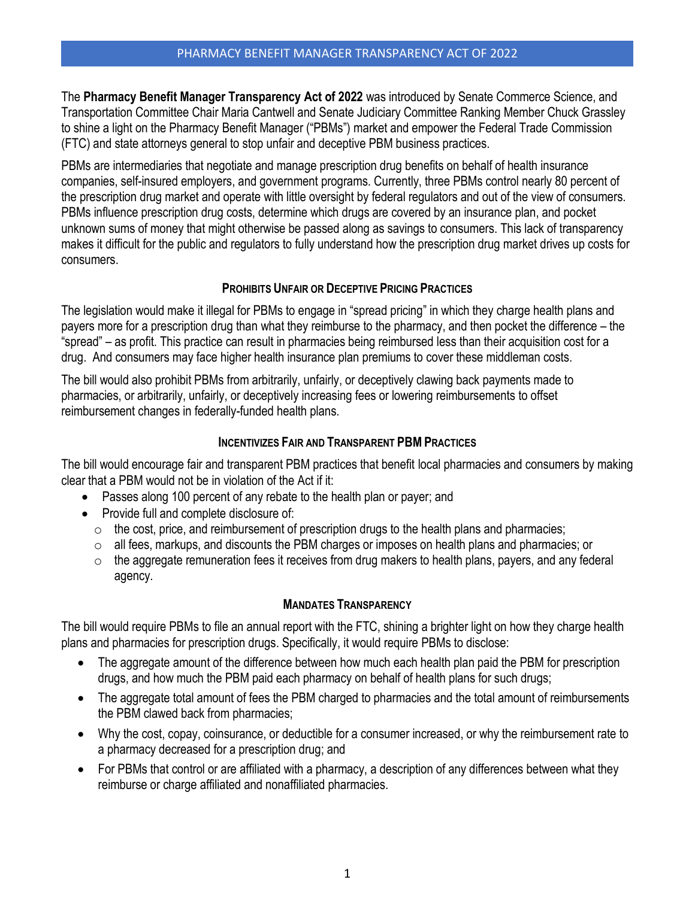The **Pharmacy Benefit Manager Transparency Act of 2022** was introduced by Senate Commerce Science, and Transportation Committee Chair Maria Cantwell and Senate Judiciary Committee Ranking Member Chuck Grassley to shine a light on the Pharmacy Benefit Manager ("PBMs") market and empower the Federal Trade Commission (FTC) and state attorneys general to stop unfair and deceptive PBM business practices.

PBMs are intermediaries that negotiate and manage prescription drug benefits on behalf of health insurance companies, self-insured employers, and government programs. Currently, three PBMs control nearly 80 percent of the prescription drug market and operate with little oversight by federal regulators and out of the view of consumers. PBMs influence prescription drug costs, determine which drugs are covered by an insurance plan, and pocket unknown sums of money that might otherwise be passed along as savings to consumers. This lack of transparency makes it difficult for the public and regulators to fully understand how the prescription drug market drives up costs for consumers.

## **PROHIBITS UNFAIR OR DECEPTIVE PRICING PRACTICES**

The legislation would make it illegal for PBMs to engage in "spread pricing" in which they charge health plans and payers more for a prescription drug than what they reimburse to the pharmacy, and then pocket the difference – the "spread" – as profit. This practice can result in pharmacies being reimbursed less than their acquisition cost for a drug. And consumers may face higher health insurance plan premiums to cover these middleman costs.

The bill would also prohibit PBMs from arbitrarily, unfairly, or deceptively clawing back payments made to pharmacies, or arbitrarily, unfairly, or deceptively increasing fees or lowering reimbursements to offset reimbursement changes in federally-funded health plans.

# **INCENTIVIZES FAIR AND TRANSPARENT PBMPRACTICES**

The bill would encourage fair and transparent PBM practices that benefit local pharmacies and consumers by making clear that a PBM would not be in violation of the Act if it:

- Passes along 100 percent of any rebate to the health plan or payer; and
- Provide full and complete disclosure of:
	- $\circ$  the cost, price, and reimbursement of prescription drugs to the health plans and pharmacies;
	- $\circ$  all fees, markups, and discounts the PBM charges or imposes on health plans and pharmacies; or
	- $\circ$  the aggregate remuneration fees it receives from drug makers to health plans, payers, and any federal agency.

## **MANDATES TRANSPARENCY**

The bill would require PBMs to file an annual report with the FTC, shining a brighter light on how they charge health plans and pharmacies for prescription drugs. Specifically, it would require PBMs to disclose:

- The aggregate amount of the difference between how much each health plan paid the PBM for prescription drugs, and how much the PBM paid each pharmacy on behalf of health plans for such drugs;
- The aggregate total amount of fees the PBM charged to pharmacies and the total amount of reimbursements the PBM clawed back from pharmacies;
- Why the cost, copay, coinsurance, or deductible for a consumer increased, or why the reimbursement rate to a pharmacy decreased for a prescription drug; and
- For PBMs that control or are affiliated with a pharmacy, a description of any differences between what they reimburse or charge affiliated and nonaffiliated pharmacies.